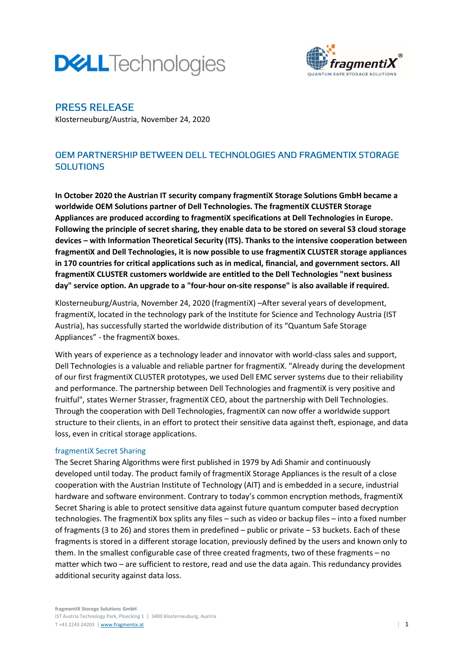# **DELL**Technologies



# PRESS RELEASE

Klosterneuburg/Austria, November 24, 2020

# OEM PARTNERSHIP BETWEEN DELL TECHNOLOGIES AND FRAGMENTIX STORAGE **SOLUTIONS**

In October 2020 the Austrian IT security company fragmentiX Storage Solutions GmbH became a worldwide OEM Solutions partner of Dell Technologies. The fragmentiX CLUSTER Storage Appliances are produced according to fragmentiX specifications at Dell Technologies in Europe. Following the principle of secret sharing, they enable data to be stored on several S3 cloud storage devices – with Information Theoretical Security (ITS). Thanks to the intensive cooperation between fragmentiX and Dell Technologies, it is now possible to use fragmentiX CLUSTER storage appliances in 170 countries for critical applications such as in medical, financial, and government sectors. All fragmentiX CLUSTER customers worldwide are entitled to the Dell Technologies "next business day" service option. An upgrade to a "four-hour on-site response" is also available if required.

Klosterneuburg/Austria, November 24, 2020 (fragmentiX) –After several years of development, fragmentiX, located in the technology park of the Institute for Science and Technology Austria (IST Austria), has successfully started the worldwide distribution of its "Quantum Safe Storage Appliances" - the fragmentiX boxes.

With years of experience as a technology leader and innovator with world-class sales and support, Dell Technologies is a valuable and reliable partner for fragmentiX. "Already during the development of our first fragmentiX CLUSTER prototypes, we used Dell EMC server systems due to their reliability and performance. The partnership between Dell Technologies and fragmentiX is very positive and fruitful", states Werner Strasser, fragmentiX CEO, about the partnership with Dell Technologies. Through the cooperation with Dell Technologies, fragmentiX can now offer a worldwide support structure to their clients, in an effort to protect their sensitive data against theft, espionage, and data loss, even in critical storage applications.

## fragmentiX Secret Sharing

The Secret Sharing Algorithms were first published in 1979 by Adi Shamir and continuously developed until today. The product family of fragmentiX Storage Appliances is the result of a close cooperation with the Austrian Institute of Technology (AIT) and is embedded in a secure, industrial hardware and software environment. Contrary to today's common encryption methods, fragmentiX Secret Sharing is able to protect sensitive data against future quantum computer based decryption technologies. The fragmentiX box splits any files – such as video or backup files – into a fixed number of fragments (3 to 26) and stores them in predefined – public or private – S3 buckets. Each of these fragments is stored in a different storage location, previously defined by the users and known only to them. In the smallest configurable case of three created fragments, two of these fragments – no matter which two – are sufficient to restore, read and use the data again. This redundancy provides additional security against data loss.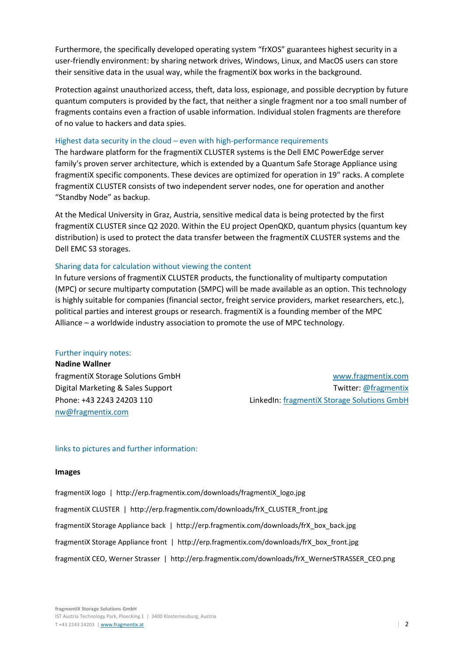Furthermore, the specifically developed operating system "frXOS" guarantees highest security in a user-friendly environment: by sharing network drives, Windows, Linux, and MacOS users can store their sensitive data in the usual way, while the fragmentiX box works in the background.

Protection against unauthorized access, theft, data loss, espionage, and possible decryption by future quantum computers is provided by the fact, that neither a single fragment nor a too small number of fragments contains even a fraction of usable information. Individual stolen fragments are therefore of no value to hackers and data spies.

#### Highest data security in the cloud – even with high-performance requirements

The hardware platform for the fragmentiX CLUSTER systems is the Dell EMC PowerEdge server family's proven server architecture, which is extended by a Quantum Safe Storage Appliance using fragmentiX specific components. These devices are optimized for operation in 19" racks. A complete fragmentiX CLUSTER consists of two independent server nodes, one for operation and another "Standby Node" as backup.

At the Medical University in Graz, Austria, sensitive medical data is being protected by the first fragmentiX CLUSTER since Q2 2020. Within the EU project OpenQKD, quantum physics (quantum key distribution) is used to protect the data transfer between the fragmentiX CLUSTER systems and the Dell EMC S3 storages.

#### Sharing data for calculation without viewing the content

In future versions of fragmentiX CLUSTER products, the functionality of multiparty computation (MPC) or secure multiparty computation (SMPC) will be made available as an option. This technology is highly suitable for companies (financial sector, freight service providers, market researchers, etc.), political parties and interest groups or research. fragmentiX is a founding member of the MPC Alliance – a worldwide industry association to promote the use of MPC technology.

#### Further inquiry notes:

Nadine Wallner nw@fragmentix.com

fragmentiX Storage Solutions GmbH www.fragmentix.com Digital Marketing & Sales Support Twitter: @fragmentix Phone: +43 2243 24203 110 LinkedIn: fragmentiX Storage Solutions GmbH

#### links to pictures and further information:

#### Images

fragmentiX logo | http://erp.fragmentix.com/downloads/fragmentiX\_logo.jpg fragmentiX CLUSTER | http://erp.fragmentix.com/downloads/frX\_CLUSTER\_front.jpg fragmentiX Storage Appliance back | http://erp.fragmentix.com/downloads/frX\_box\_back.jpg fragmentiX Storage Appliance front | http://erp.fragmentix.com/downloads/frX\_box\_front.jpg fragmentiX CEO, Werner Strasser | http://erp.fragmentix.com/downloads/frX\_WernerSTRASSER\_CEO.png